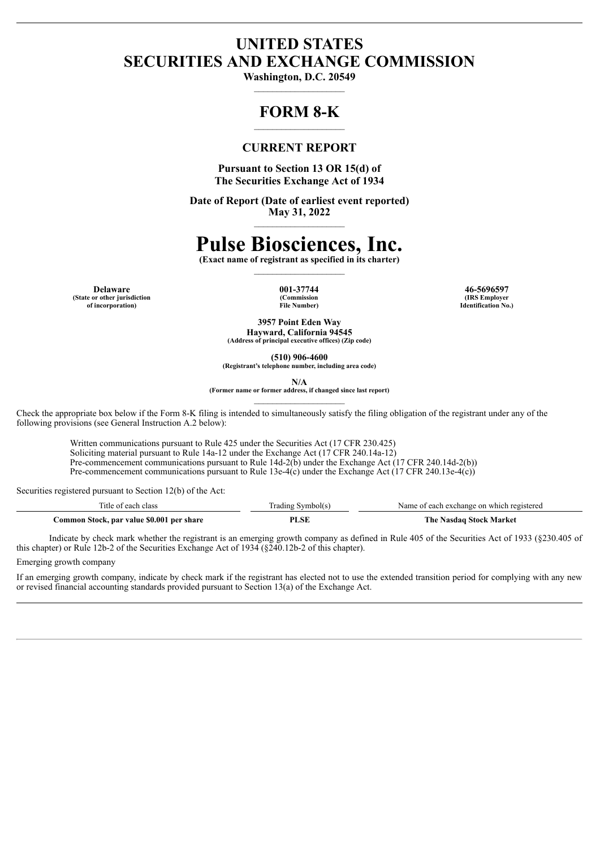# **UNITED STATES SECURITIES AND EXCHANGE COMMISSION**

**Washington, D.C. 20549** \_\_\_\_\_\_\_\_\_\_\_\_\_\_\_\_\_\_\_\_

# **FORM 8-K**

# **CURRENT REPORT**

**Pursuant to Section 13 OR 15(d) of The Securities Exchange Act of 1934**

**Date of Report (Date of earliest event reported) May 31, 2022**  $\mathcal{L}_\text{max}$  and  $\mathcal{L}_\text{max}$  and  $\mathcal{L}_\text{max}$ 

# **Pulse Biosciences, Inc.**

**(Exact name of registrant as specified in its charter)**  $\mathcal{L}_\text{max}$ 

**Delaware 001-37744 46-5696597 (State or other jurisdiction of incorporation)**

**(Commission File Number)**

**(IRS Employer Identification No.)**

**3957 Point Eden Way Hayward, California 94545**

**(Address of principal executive offices) (Zip code)**

**(510) 906-4600**

**(Registrant's telephone number, including area code)**

**N/A**

**(Former name or former address, if changed since last report)**  $\mathcal{L}_\text{max}$ 

Check the appropriate box below if the Form 8-K filing is intended to simultaneously satisfy the filing obligation of the registrant under any of the following provisions (see General Instruction A.2 below):

Written communications pursuant to Rule 425 under the Securities Act (17 CFR 230.425) Soliciting material pursuant to Rule 14a-12 under the Exchange Act (17 CFR 240.14a-12) Pre-commencement communications pursuant to Rule 14d-2(b) under the Exchange Act (17 CFR 240.14d-2(b)) Pre-commencement communications pursuant to Rule 13e-4(c) under the Exchange Act (17 CFR 240.13e-4(c))

Securities registered pursuant to Section 12(b) of the Act:

| ritle of each class                       | `rading Symbol(s | Name of each exchange on which registered |
|-------------------------------------------|------------------|-------------------------------------------|
| Common Stock, par value \$0.001 per share | PLSE             | The Nasdag Stock Market                   |

Indicate by check mark whether the registrant is an emerging growth company as defined in Rule 405 of the Securities Act of 1933 (§230.405 of this chapter) or Rule 12b-2 of the Securities Exchange Act of 1934 (§240.12b-2 of this chapter).

Emerging growth company

If an emerging growth company, indicate by check mark if the registrant has elected not to use the extended transition period for complying with any new or revised financial accounting standards provided pursuant to Section 13(a) of the Exchange Act.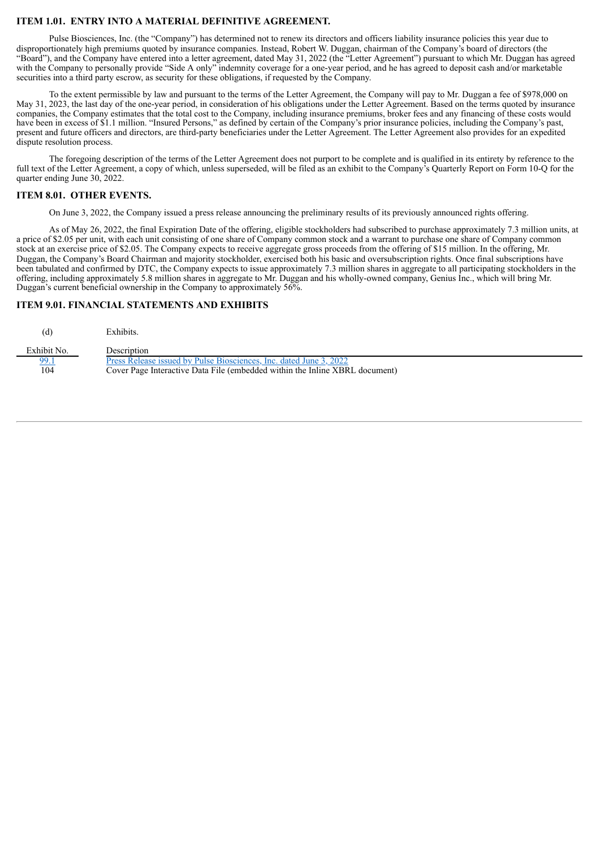# **ITEM 1.01. ENTRY INTO A MATERIAL DEFINITIVE AGREEMENT.**

Pulse Biosciences, Inc. (the "Company") has determined not to renew its directors and officers liability insurance policies this year due to disproportionately high premiums quoted by insurance companies. Instead, Robert W. Duggan, chairman of the Company's board of directors (the "Board"), and the Company have entered into a letter agreement, dated May 31, 2022 (the "Letter Agreement") pursuant to which Mr. Duggan has agreed with the Company to personally provide "Side A only" indemnity coverage for a one-year period, and he has agreed to deposit cash and/or marketable securities into a third party escrow, as security for these obligations, if requested by the Company.

To the extent permissible by law and pursuant to the terms of the Letter Agreement, the Company will pay to Mr. Duggan a fee of \$978,000 on May 31, 2023, the last day of the one-year period, in consideration of his obligations under the Letter Agreement. Based on the terms quoted by insurance companies, the Company estimates that the total cost to the Company, including insurance premiums, broker fees and any financing of these costs would have been in excess of \$1.1 million. "Insured Persons," as defined by certain of the Company's prior insurance policies, including the Company's past, present and future officers and directors, are third-party beneficiaries under the Letter Agreement. The Letter Agreement also provides for an expedited dispute resolution process.

The foregoing description of the terms of the Letter Agreement does not purport to be complete and is qualified in its entirety by reference to the full text of the Letter Agreement, a copy of which, unless superseded, will be filed as an exhibit to the Company's Quarterly Report on Form 10-Q for the quarter ending June 30, 2022.

## **ITEM 8.01. OTHER EVENTS.**

On June 3, 2022, the Company issued a press release announcing the preliminary results of its previously announced rights offering.

As of May 26, 2022, the final Expiration Date of the offering, eligible stockholders had subscribed to purchase approximately 7.3 million units, at a price of \$2.05 per unit, with each unit consisting of one share of Company common stock and a warrant to purchase one share of Company common stock at an exercise price of \$2.05. The Company expects to receive aggregate gross proceeds from the offering of \$15 million. In the offering, Mr. Duggan, the Company's Board Chairman and majority stockholder, exercised both his basic and oversubscription rights. Once final subscriptions have been tabulated and confirmed by DTC, the Company expects to issue approximately 7.3 million shares in aggregate to all participating stockholders in the offering, including approximately 5.8 million shares in aggregate to Mr. Duggan and his wholly-owned company, Genius Inc., which will bring Mr. Duggan's current beneficial ownership in the Company to approximately 56%.

# **ITEM 9.01. FINANCIAL STATEMENTS AND EXHIBITS**

| Exhibit No. | Description                                                                 |
|-------------|-----------------------------------------------------------------------------|
| 99.1        | Press Release issued by Pulse Biosciences. Inc. dated June 3, 2022          |
| 104         | Cover Page Interactive Data File (embedded within the Inline XBRL document) |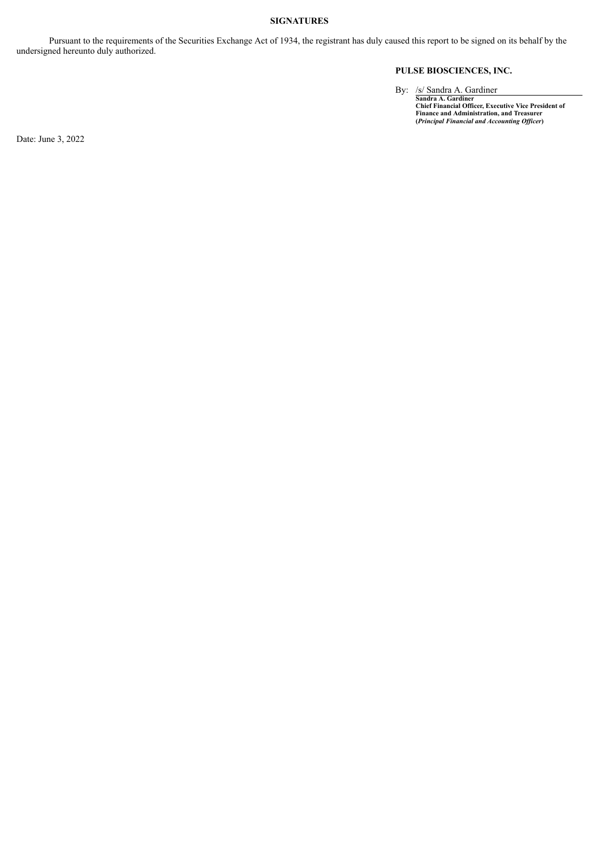# **SIGNATURES**

Pursuant to the requirements of the Securities Exchange Act of 1934, the registrant has duly caused this report to be signed on its behalf by the undersigned hereunto duly authorized.

# **PULSE BIOSCIENCES, INC.**

By: /s/ Sandra A. Gardiner<br>
Sandra A. Gardiner<br>
Chief Financial Officer, Executive Vice President of<br>
Finance and Administration, and Treasurer<br>
(*Principal Financial and Accounting Officer*)

Date: June 3, 2022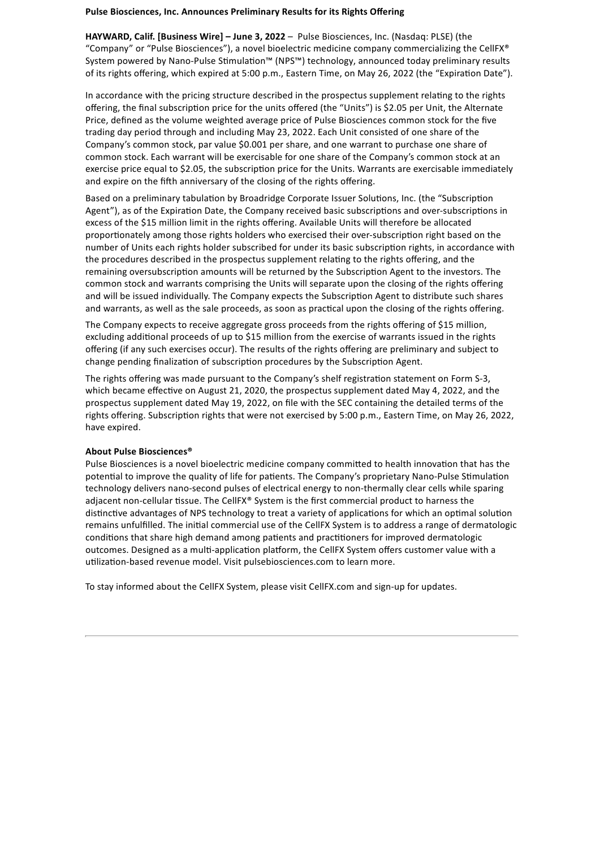# <span id="page-3-0"></span>**Pulse Biosciences, Inc. Announces Preliminary Results for its Rights Offering**

**HAYWARD, Calif. [Business Wire] – June 3, 2022** – Pulse Biosciences, Inc. (Nasdaq: PLSE) (the "Company" or "Pulse Biosciences"), a novel bioelectric medicine company commercializing the CellFX® System powered by Nano-Pulse Stimulation™ (NPS™) technology, announced today preliminary results of its rights offering, which expired at 5:00 p.m., Eastern Time, on May 26, 2022 (the "Expiration Date").

In accordance with the pricing structure described in the prospectus supplement relating to the rights offering, the final subscription price for the units offered (the "Units") is \$2.05 per Unit, the Alternate Price, defined as the volume weighted average price of Pulse Biosciences common stock for the five trading day period through and including May 23, 2022. Each Unit consisted of one share of the Company's common stock, par value \$0.001 per share, and one warrant to purchase one share of common stock. Each warrant will be exercisable for one share of the Company's common stock at an exercise price equal to \$2.05, the subscription price for the Units. Warrants are exercisable immediately and expire on the fifth anniversary of the closing of the rights offering.

Based on a preliminary tabulation by Broadridge Corporate Issuer Solutions, Inc. (the "Subscription Agent"), as of the Expiration Date, the Company received basic subscriptions and over-subscriptions in excess of the \$15 million limit in the rights offering. Available Units will therefore be allocated proportionately among those rights holders who exercised their over-subscription right based on the number of Units each rights holder subscribed for under its basic subscription rights, in accordance with the procedures described in the prospectus supplement relating to the rights offering, and the remaining oversubscription amounts will be returned by the Subscription Agent to the investors. The common stock and warrants comprising the Units will separate upon the closing of the rights offering and will be issued individually. The Company expects the Subscription Agent to distribute such shares and warrants, as well as the sale proceeds, as soon as practical upon the closing of the rights offering.

The Company expects to receive aggregate gross proceeds from the rights offering of \$15 million, excluding additional proceeds of up to \$15 million from the exercise of warrants issued in the rights offering (if any such exercises occur). The results of the rights offering are preliminary and subject to change pending finalization of subscription procedures by the Subscription Agent.

The rights offering was made pursuant to the Company's shelf registration statement on Form S-3, which became effective on August 21, 2020, the prospectus supplement dated May 4, 2022, and the prospectus supplement dated May 19, 2022, on file with the SEC containing the detailed terms of the rights offering. Subscription rights that were not exercised by 5:00 p.m., Eastern Time, on May 26, 2022, have expired.

# **About Pulse Biosciences®**

Pulse Biosciences is a novel bioelectric medicine company committed to health innovation that has the potential to improve the quality of life for patients. The Company's proprietary Nano-Pulse Stimulation technology delivers nano-second pulses of electrical energy to non-thermally clear cells while sparing adjacent non-cellular tissue. The CellFX® System is the first commercial product to harness the distinctive advantages of NPS technology to treat a variety of applications for which an optimal solution remains unfulfilled. The initial commercial use of the CellFX System is to address a range of dermatologic conditions that share high demand among patients and practitioners for improved dermatologic outcomes. Designed as a multi-application platform, the CellFX System offers customer value with a utilization-based revenue model. Visit pulsebiosciences.com to learn more.

To stay informed about the CellFX System, please visit CellFX.com and sign-up for updates.